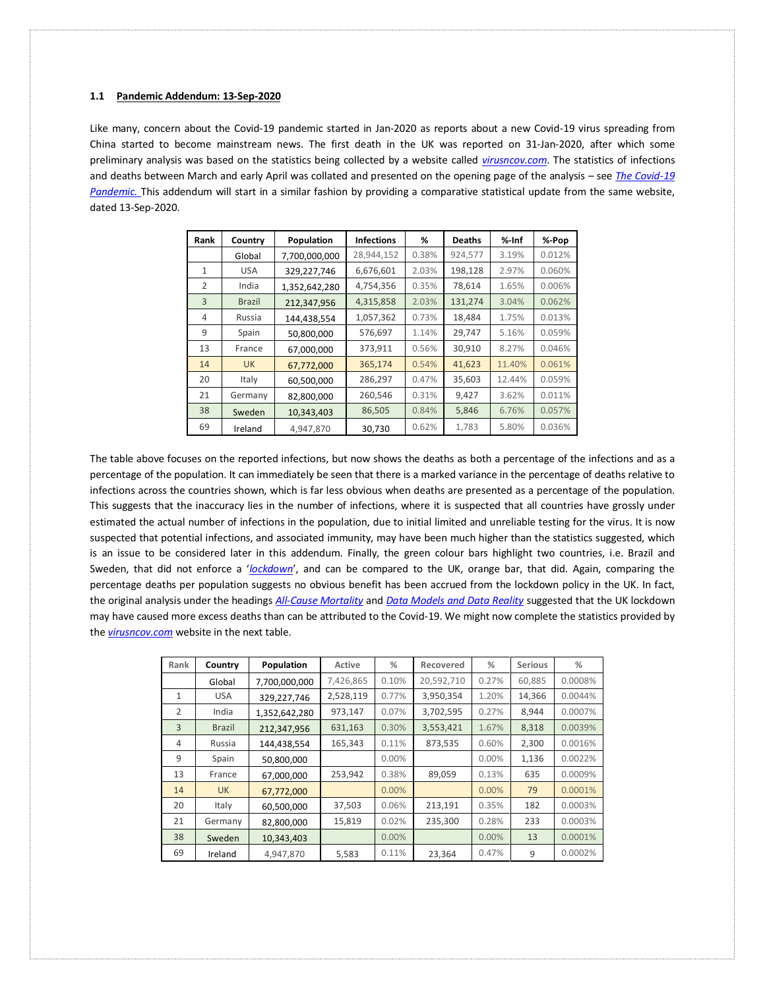<span id="page-0-0"></span>Like many, concern about the Covid-19 pandemic started in Jan-2020 as reports about a new Covid-19 virus spreading from China started to become mainstream news. The first death in the UK was reported on 31-Jan-2020, after which some preliminary analysis was based on the statistics being collected by a website called *[virusncov.com](https://virusncov.com/)*. The statistics of infections and deaths between March and early April was collated and presented on the opening page of the analysis – see *[The Covid-19](http://www.mysearch.org.uk/website4/html/22.Covid19.html)  [Pandemic.](http://www.mysearch.org.uk/website4/html/22.Covid19.html)* This addendum will start in a similar fashion by providing a comparative statistical update from the same website, dated 13-Sep-2020.

| Rank          | Country       | Population    | <b>Infections</b> | %     | <b>Deaths</b> | $%$ -Inf | %-Pop  |
|---------------|---------------|---------------|-------------------|-------|---------------|----------|--------|
|               | Global        | 7,700,000,000 | 28,944,152        | 0.38% | 924,577       | 3.19%    | 0.012% |
| 1             | <b>USA</b>    | 329,227,746   | 6,676,601         | 2.03% | 198,128       | 2.97%    | 0.060% |
| $\mathcal{P}$ | India         | 1,352,642,280 | 4,754,356         | 0.35% | 78,614        | 1.65%    | 0.006% |
| 3             | <b>Brazil</b> | 212,347,956   | 4,315,858         | 2.03% | 131,274       | 3.04%    | 0.062% |
| 4             | Russia        | 144,438,554   | 1,057,362         | 0.73% | 18,484        | 1.75%    | 0.013% |
| 9             | Spain         | 50,800,000    | 576,697           | 1.14% | 29,747        | 5.16%    | 0.059% |
| 13            | France        | 67,000,000    | 373,911           | 0.56% | 30,910        | 8.27%    | 0.046% |
| 14            | <b>UK</b>     | 67,772,000    | 365,174           | 0.54% | 41,623        | 11.40%   | 0.061% |
| 20            | Italy         | 60,500,000    | 286,297           | 0.47% | 35,603        | 12.44%   | 0.059% |
| 21            | Germany       | 82,800,000    | 260,546           | 0.31% | 9,427         | 3.62%    | 0.011% |
| 38            | Sweden        | 10,343,403    | 86,505            | 0.84% | 5,846         | 6.76%    | 0.057% |
| 69            | Ireland       | 4,947,870     | 30,730            | 0.62% | 1,783         | 5.80%    | 0.036% |

The table above focuses on the reported infections, but now shows the deaths as both a percentage of the infections and as a percentage of the population. It can immediately be seen that there is a marked variance in the percentage of deaths relative to infections across the countries shown, which is far less obvious when deaths are presented as a percentage of the population. This suggests that the inaccuracy lies in the number of infections, where it is suspected that all countries have grossly under estimated the actual number of infections in the population, due to initial limited and unreliable testing for the virus. It is now suspected that potential infections, and associated immunity, may have been much higher than the statistics suggested, which is an issue to be considered later in this addendum. Finally, the green colour bars highlight two countries, i.e. Brazil and Sweden, that did not enforce a '*[lockdown](https://en.wikipedia.org/wiki/COVID-19_pandemic_lockdowns)*', and can be compared to the UK, orange bar, that did. Again, comparing the percentage deaths per population suggests no obvious benefit has been accrued from the lockdown policy in the UK. In fact, the original analysis under the headings *[All-Cause Mortality](http://www.mysearch.org.uk/website4/html/27.Mortality.html)* and *[Data Models and Data Reality](http://www.mysearch.org.uk/website4/html/28.Models.html)* suggested that the UK lockdown may have caused more excess deaths than can be attributed to the Covid-19. We might now complete the statistics provided by the *[virusncov.com](https://virusncov.com/)* website in the next table.

| Rank           | Country       | Population    | Active    | %        | Recovered  | %     | <b>Serious</b> | %       |
|----------------|---------------|---------------|-----------|----------|------------|-------|----------------|---------|
|                | Global        | 7,700,000,000 | 7,426,865 | 0.10%    | 20,592,710 | 0.27% | 60,885         | 0.0008% |
| 1              | <b>USA</b>    | 329,227,746   | 2,528,119 | 0.77%    | 3,950,354  | 1.20% | 14,366         | 0.0044% |
| $\overline{2}$ | India         | 1,352,642,280 | 973,147   | 0.07%    | 3,702,595  | 0.27% | 8,944          | 0.0007% |
| 3              | <b>Brazil</b> | 212,347,956   | 631,163   | 0.30%    | 3,553,421  | 1.67% | 8,318          | 0.0039% |
| 4              | Russia        | 144,438,554   | 165,343   | 0.11%    | 873,535    | 0.60% | 2,300          | 0.0016% |
| 9              | Spain         | 50.800.000    |           | $0.00\%$ |            | 0.00% | 1,136          | 0.0022% |
| 13             | France        | 67,000,000    | 253,942   | 0.38%    | 89,059     | 0.13% | 635            | 0.0009% |
| 14             | <b>UK</b>     | 67.772.000    |           | 0.00%    |            | 0.00% | 79             | 0.0001% |
| 20             | Italy         | 60,500,000    | 37,503    | 0.06%    | 213,191    | 0.35% | 182            | 0.0003% |
| 21             | Germany       | 82.800.000    | 15,819    | 0.02%    | 235,300    | 0.28% | 233            | 0.0003% |
| 38             | Sweden        | 10,343,403    |           | 0.00%    |            | 0.00% | 13             | 0.0001% |
| 69             | Ireland       | 4,947,870     | 5,583     | 0.11%    | 23,364     | 0.47% | 9              | 0.0002% |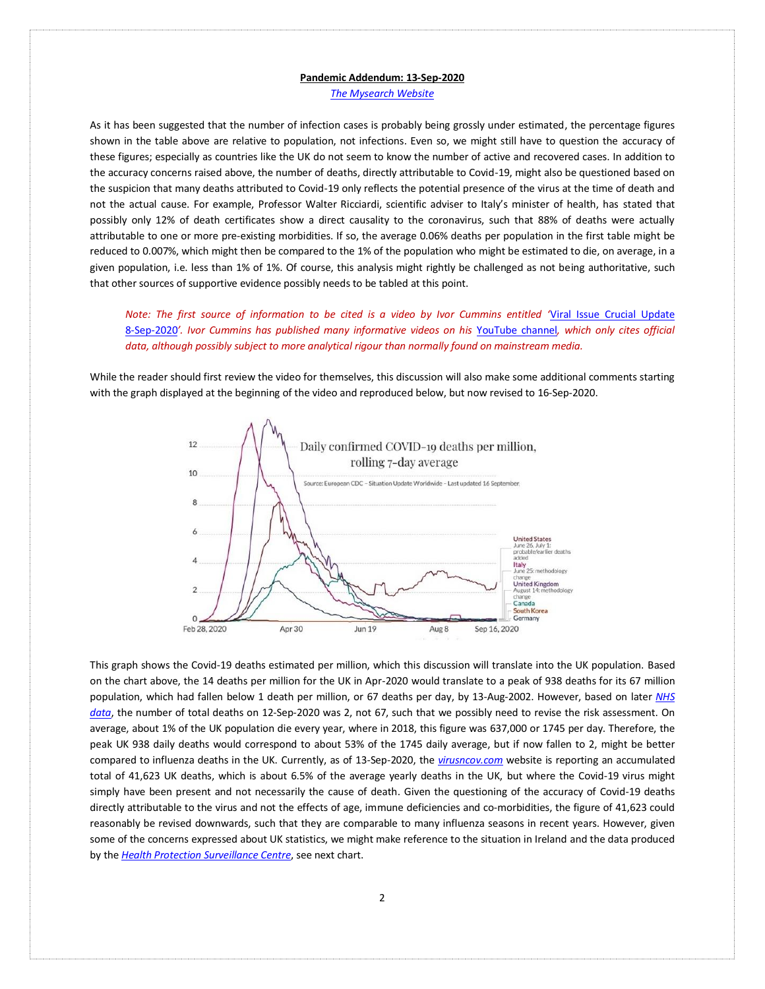*[The Mysearch Website](http://www.mysearch.org.uk/)*

As it has been suggested that the number of infection cases is probably being grossly under estimated, the percentage figures shown in the table above are relative to population, not infections. Even so, we might still have to question the accuracy of these figures; especially as countries like the UK do not seem to know the number of active and recovered cases. In addition to the accuracy concerns raised above, the number of deaths, directly attributable to Covid-19, might also be questioned based on the suspicion that many deaths attributed to Covid-19 only reflects the potential presence of the virus at the time of death and not the actual cause. For example, Professor Walter Ricciardi, scientific adviser to Italy's minister of health, has stated that possibly only 12% of death certificates show a direct causality to the coronavirus, such that 88% of deaths were actually attributable to one or more pre-existing morbidities. If so, the average 0.06% deaths per population in the first table might be reduced to 0.007%, which might then be compared to the 1% of the population who might be estimated to die, on average, in a given population, i.e. less than 1% of 1%. Of course, this analysis might rightly be challenged as not being authoritative, such that other sources of supportive evidence possibly needs to be tabled at this point.

*Note: The first source of information to be cited is a video by Ivor Cummins entitled '*[Viral Issue Crucial Update](https://www.youtube.com/watch?v=8UvFhIFzaac)  [8-Sep-2020](https://www.youtube.com/watch?v=8UvFhIFzaac)*'. Ivor Cummins has published many informative videos on his* [YouTube channel](https://www.youtube.com/channel/UCPn4FsiQP15nudug9FDhluA)*, which only cites official data, although possibly subject to more analytical rigour than normally found on mainstream media.*

While the reader should first review the video for themselves, this discussion will also make some additional comments starting with the graph displayed at the beginning of the video and reproduced below, but now revised to 16-Sep-2020.



This graph shows the Covid-19 deaths estimated per million, which this discussion will translate into the UK population. Based on the chart above, the 14 deaths per million for the UK in Apr-2020 would translate to a peak of 938 deaths for its 67 million population, which had fallen below 1 death per million, or 67 deaths per day, by 13-Aug-2002. However, based on later *[NHS](https://www.england.nhs.uk/statistics/statistical-work-areas/covid-19-daily-deaths/)  [data](https://www.england.nhs.uk/statistics/statistical-work-areas/covid-19-daily-deaths/)*, the number of total deaths on 12-Sep-2020 was 2, not 67, such that we possibly need to revise the risk assessment. On average, about 1% of the UK population die every year, where in 2018, this figure was 637,000 or 1745 per day. Therefore, the peak UK 938 daily deaths would correspond to about 53% of the 1745 daily average, but if now fallen to 2, might be better compared to influenza deaths in the UK. Currently, as of 13-Sep-2020, the *[virusncov.com](https://virusncov.com/)* website is reporting an accumulated total of 41,623 UK deaths, which is about 6.5% of the average yearly deaths in the UK, but where the Covid-19 virus might simply have been present and not necessarily the cause of death. Given the questioning of the accuracy of Covid-19 deaths directly attributable to the virus and not the effects of age, immune deficiencies and co-morbidities, the figure of 41,623 could reasonably be revised downwards, such that they are comparable to many influenza seasons in recent years. However, given some of the concerns expressed about UK statistics, we might make reference to the situation in Ireland and the data produced by the *[Health Protection Surveillance Centre](https://www.hpsc.ie/)*, see next chart.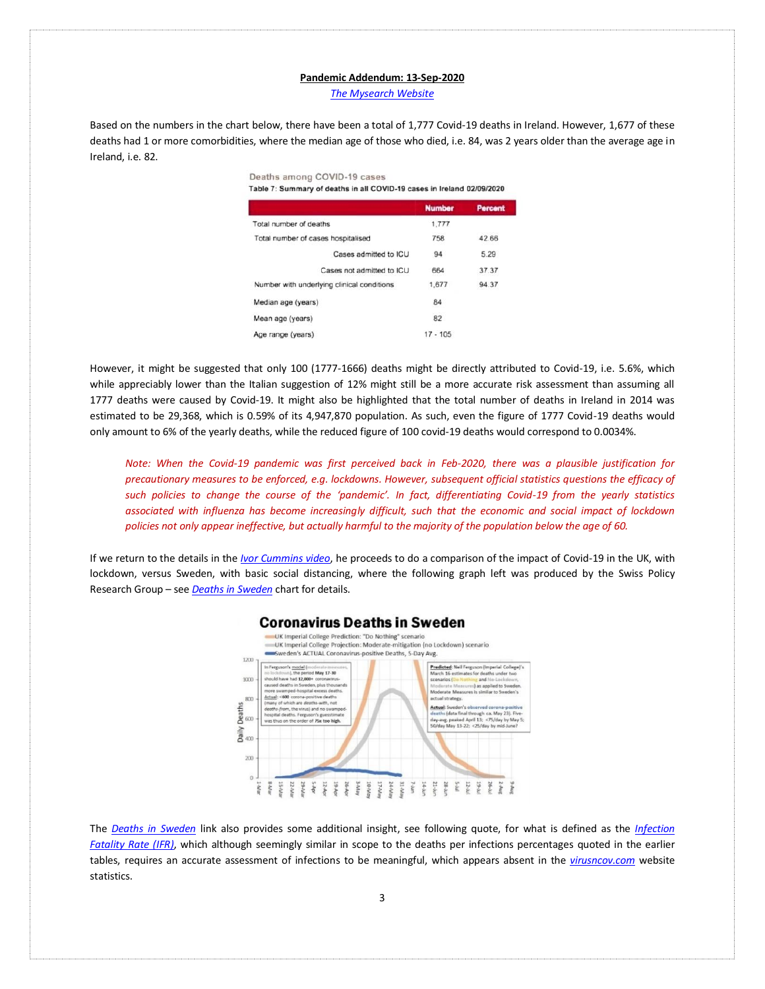*[The Mysearch Website](http://www.mysearch.org.uk/)*

Based on the numbers in the chart below, there have been a total of 1,777 Covid-19 deaths in Ireland. However, 1,677 of these deaths had 1 or more comorbidities, where the median age of those who died, i.e. 84, was 2 years older than the average age in Ireland, i.e. 82.

> Deaths among COVID-19 cases Table 7: Summary of deaths in all COVID-19 cases in Ireland 02/09/2020

|                                            | <b>Number</b> | Percent |
|--------------------------------------------|---------------|---------|
| Total number of deaths                     | 1,777         |         |
| Total number of cases hospitalised         | 758           | 42.66   |
| Cases admitted to ICU                      | 94            | 5.29    |
| Cases not admitted to ICU                  | 664           | 37.37   |
| Number with underlying clinical conditions | 1,677         | 94.37   |
| Median age (years)                         | 84            |         |
| Mean age (years)                           | 82            |         |
| Age range (years)                          | $17 - 105$    |         |

However, it might be suggested that only 100 (1777-1666) deaths might be directly attributed to Covid-19, i.e. 5.6%, which while appreciably lower than the Italian suggestion of 12% might still be a more accurate risk assessment than assuming all 1777 deaths were caused by Covid-19. It might also be highlighted that the total number of deaths in Ireland in 2014 was estimated to be 29,368, which is 0.59% of its 4,947,870 population. As such, even the figure of 1777 Covid-19 deaths would only amount to 6% of the yearly deaths, while the reduced figure of 100 covid-19 deaths would correspond to 0.0034%.

*Note: When the Covid-19 pandemic was first perceived back in Feb-2020, there was a plausible justification for precautionary measures to be enforced, e.g. lockdowns. However, subsequent official statistics questions the efficacy of such policies to change the course of the 'pandemic'. In fact, differentiating Covid-19 from the yearly statistics associated with influenza has become increasingly difficult, such that the economic and social impact of lockdown policies not only appear ineffective, but actually harmful to the majority of the population below the age of 60.*

If we return to the details in the *[Ivor Cummins video](https://www.youtube.com/watch?v=8UvFhIFzaac)*, he proceeds to do a comparison of the impact of Covid-19 in the UK, with lockdown, versus Sweden, with basic social distancing, where the following graph left was produced by the Swiss Policy Research Group – see *[Deaths in Sweden](https://swprs.org/covid19-lethality-how-not-to-do-it/)* chart for details.



The *[Deaths in Sweden](https://swprs.org/covid19-lethality-how-not-to-do-it/)* link also provides some additional insight, see following quote, for what is defined as the *[Infection](https://en.wikipedia.org/wiki/Case_fatality_rate)  [Fatality Rate \(IFR\)](https://en.wikipedia.org/wiki/Case_fatality_rate)*, which although seemingly similar in scope to the deaths per infections percentages quoted in the earlier tables, requires an accurate assessment of infections to be meaningful, which appears absent in the *[virusncov.com](https://virusncov.com/)* website statistics.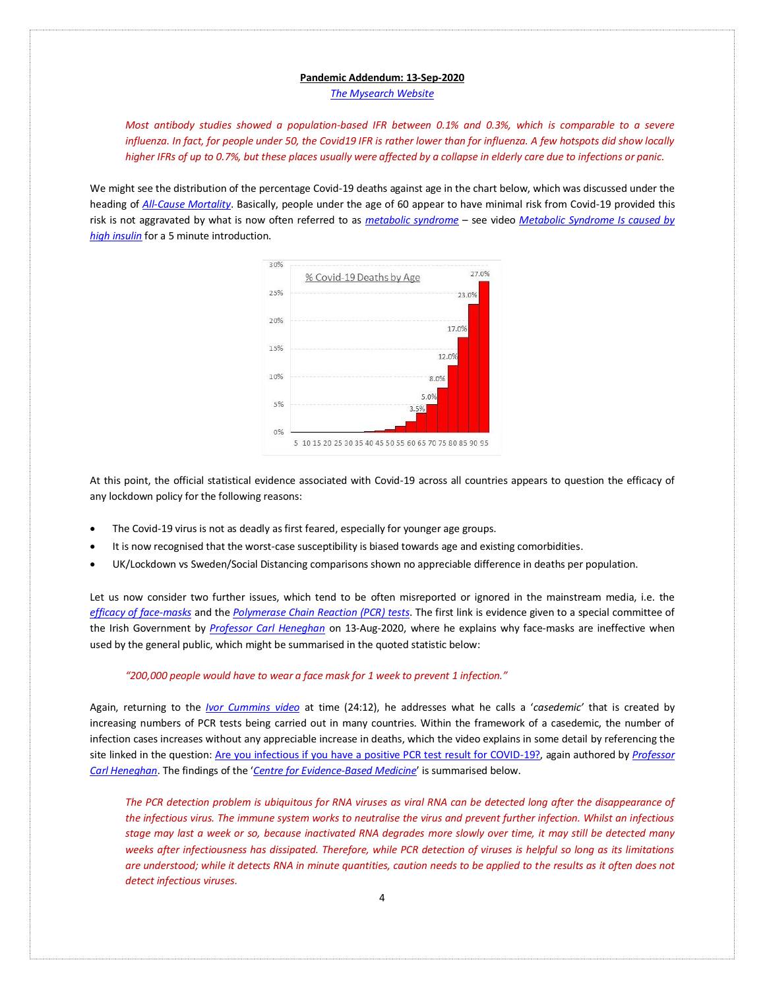*[The Mysearch Website](http://www.mysearch.org.uk/)*

*Most antibody studies showed a population-based IFR between 0.1% and 0.3%, which is comparable to a severe influenza. In fact, for people under 50, the Covid19 IFR is rather lower than for influenza. A few hotspots did show locally higher IFRs of up to 0.7%, but these places usually were affected by a collapse in elderly care due to infections or panic.*

We might see the distribution of the percentage Covid-19 deaths against age in the chart below, which was discussed under the heading of *[All-Cause Mortality](http://www.mysearch.org.uk/website4/html/27.Mortality.html)*. Basically, people under the age of 60 appear to have minimal risk from Covid-19 provided this risk is not aggravated by what is now often referred to as *[metabolic syndrome](https://en.wikipedia.org/wiki/Metabolic_syndrome)* – see video *[Metabolic Syndrome Is caused by](https://www.youtube.com/watch?v=Wtof98E8cC4)  [high insulin](https://www.youtube.com/watch?v=Wtof98E8cC4)* for a 5 minute introduction.



At this point, the official statistical evidence associated with Covid-19 across all countries appears to question the efficacy of any lockdown policy for the following reasons:

- The Covid-19 virus is not as deadly as first feared, especially for younger age groups.
- It is now recognised that the worst-case susceptibility is biased towards age and existing comorbidities.
- UK/Lockdown vs Sweden/Social Distancing comparisons shown no appreciable difference in deaths per population.

Let us now consider two further issues, which tend to be often misreported or ignored in the mainstream media, i.e. the *[efficacy of face-masks](https://www.youtube.com/watch?v=2zxvhL1zA18)* and the *[Polymerase Chain Reaction \(PCR\) tests](https://en.wikipedia.org/wiki/Polymerase_chain_reaction)*. The first link is evidence given to a special committee of the Irish Government by *[Professor Carl Heneghan](https://en.wikipedia.org/wiki/Carl_Heneghan)* on 13-Aug-2020, where he explains why face-masks are ineffective when used by the general public, which might be summarised in the quoted statistic below:

#### *"200,000 people would have to wear a face mask for 1 week to prevent 1 infection."*

Again, returning to the *[Ivor Cummins](https://www.youtube.com/watch?v=8UvFhIFzaac) video* at time (24:12), he addresses what he calls a '*casedemic'* that is created by increasing numbers of PCR tests being carried out in many countries. Within the framework of a casedemic, the number of infection cases increases without any appreciable increase in deaths, which the video explains in some detail by referencing the site linked in the question: [Are you infectious if you have a positive PCR test result for COVID-19?,](http://www.cebm.net/covid-19/infectious-positive-pcr-test-result-covid-19) again authored by *[Professor](https://en.wikipedia.org/wiki/Centre_for_Evidence-Based_Medicine)  [Carl Heneghan](https://en.wikipedia.org/wiki/Centre_for_Evidence-Based_Medicine)*. The findings of the '*[Centre for Evidence-Based Medicine](https://www.cebm.net/)*' is summarised below.

The PCR detection problem is ubiquitous for RNA viruses as viral RNA can be detected long after the disappearance of *the infectious virus. The immune system works to neutralise the virus and prevent further infection. Whilst an infectious stage may last a week or so, because inactivated RNA degrades more slowly over time, it may still be detected many weeks after infectiousness has dissipated. Therefore, while PCR detection of viruses is helpful so long as its limitations are understood; while it detects RNA in minute quantities, caution needs to be applied to the results as it often does not detect infectious viruses.*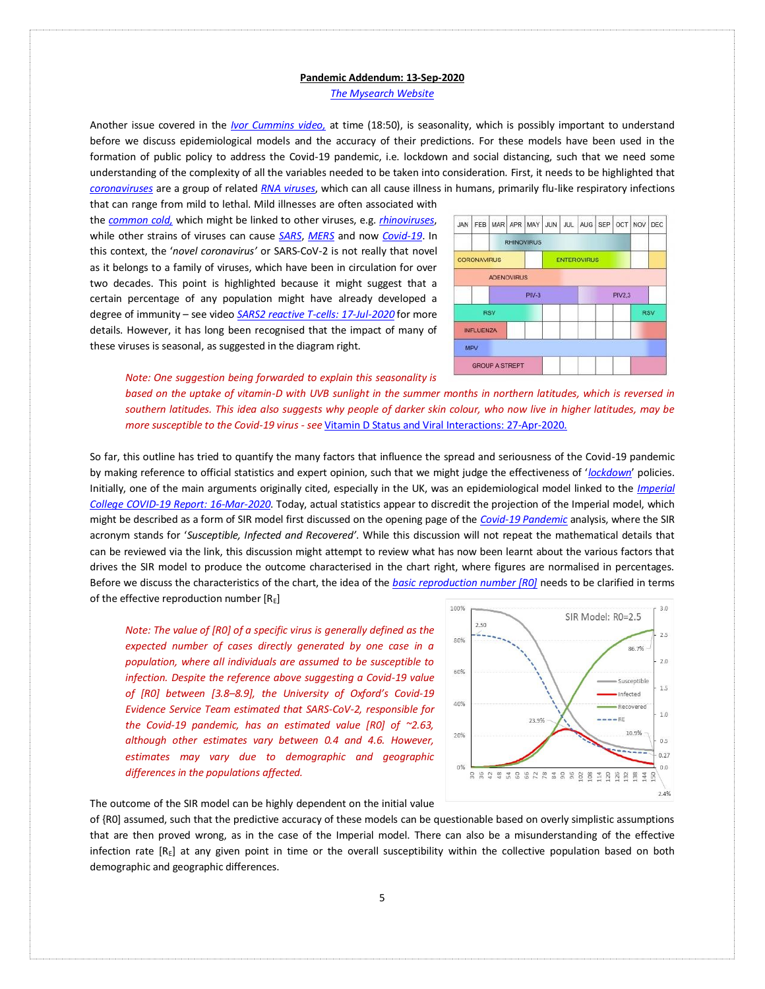*[The Mysearch Website](http://www.mysearch.org.uk/)*

Another issue covered in the *[Ivor Cummins video,](https://www.youtube.com/watch?v=8UvFhIFzaac)* at time (18:50), is seasonality, which is possibly important to understand before we discuss epidemiological models and the accuracy of their predictions. For these models have been used in the formation of public policy to address the Covid-19 pandemic, i.e. lockdown and social distancing, such that we need some understanding of the complexity of all the variables needed to be taken into consideration. First, it needs to be highlighted tha[t](https://en.wikipedia.org/wiki/Coronavirus) *[coronaviruses](https://en.wikipedia.org/wiki/Coronavirus)* are a group of related *[RNA viruses](https://en.wikipedia.org/wiki/RNA_virus)*, which can all cause illness in humans, primarily flu-like respiratory infections that can range from mild to lethal. Mild illnesses are often associated with

the *[common cold,](https://en.wikipedia.org/wiki/Common_cold)* which might be linked to other viruses, e.g. *[rhinoviruses](https://en.wikipedia.org/wiki/Rhinovirus)*, while other strains of viruses can cause *[SARS](https://en.wikipedia.org/wiki/Severe_acute_respiratory_syndrome)*, *[MERS](https://en.wikipedia.org/wiki/Middle_East_respiratory_syndrome)* and now *[Covid-19](https://en.wikipedia.org/wiki/Coronavirus_disease_2019)*. In this context, the '*novel coronavirus'* or SARS-CoV-2 is not really that novel as it belongs to a family of viruses, which have been in circulation for over two decades. This point is highlighted because it might suggest that a certain percentage of any population might have already developed a degree of immunity – see video *[SARS2 reactive T-cells: 17-Jul-2020](https://www.youtube.com/watch?v=tDdZQlTwxrA)* for more details. However, it has long been recognised that the impact of many of these viruses is seasonal, as suggested in the diagram right.



*Note: One suggestion being forwarded to explain this seasonality is* 

*based on the uptake of vitamin-D with UVB sunlight in the summer months in northern latitudes, which is reversed in southern latitudes. This idea also suggests why people of darker skin colour, who now live in higher latitudes, may be more susceptible to the Covid-19 virus - see* [Vitamin D Status and Viral Interactions: 27-Apr-2020.](https://www.youtube.com/watch?v=aXw3XqwSZFo&t=610s)

So far, this outline has tried to quantify the many factors that influence the spread and seriousness of the Covid-19 pandemic by making reference to official statistics and expert opinion, such that we might judge the effectiveness of '*[lockdown](https://en.wikipedia.org/wiki/Lockdown)*' policies. Initially, one of the main arguments originally cited, especially in the UK, was an epidemiological model linked to the *[Imperial](http://www.mysearch.org.uk/website4/pdf/Imperial-College-COVID19.pdf)  [College COVID-19 Report: 16-Mar-2020](http://www.mysearch.org.uk/website4/pdf/Imperial-College-COVID19.pdf)*. Today, actual statistics appear to discredit the projection of the Imperial model, which might be described as a form of SIR model first discussed on the opening page of the *[Covid-19 Pandemic](http://www.mysearch.org.uk/website4/html/22.Covid19.html)* analysis, where the SIR acronym stands for '*Susceptible, Infected and Recovered'*. While this discussion will not repeat the mathematical details that can be reviewed via the link, this discussion might attempt to review what has now been learnt about the various factors that drives the SIR model to produce the outcome characterised in the chart right, where figures are normalised in percentages. Before we discuss the characteristics of the chart, the idea of the *[basic reproduction number \[R0\]](https://en.wikipedia.org/wiki/Basic_reproduction_number)* needs to be clarified in terms of the effective reproduction number  $[R<sub>E</sub>]$ 

*Note: The value of [R0] of a specific virus is generally defined as the expected number of cases directly generated by one case in a population, where all individuals are assumed to be susceptible to infection. Despite the reference above suggesting a Covid-19 value of [R0] between [3.8–8.9], the University of Oxford's Covid-19 Evidence Service Team estimated that SARS-CoV-2, responsible for the Covid-19 pandemic, has an estimated value [R0] of ~2.63, although other estimates vary between 0.4 and 4.6. However, estimates may vary due to demographic and geographic differences in the populations affected.* 



The outcome of the SIR model can be highly dependent on the initial value

of {R0] assumed, such that the predictive accuracy of these models can be questionable based on overly simplistic assumptions that are then proved wrong, as in the case of the Imperial model. There can also be a misunderstanding of the effective infection rate  $[R<sub>E</sub>]$  at any given point in time or the overall susceptibility within the collective population based on both demographic and geographic differences.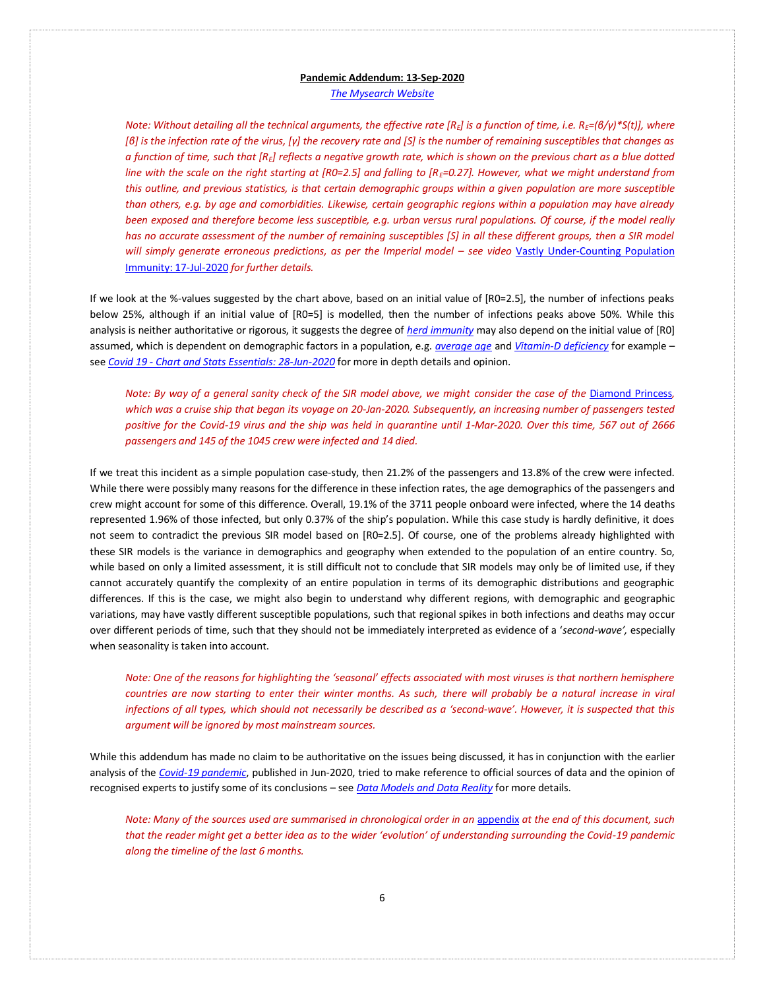*[The Mysearch Website](http://www.mysearch.org.uk/)*

*Note: Without detailing all the technical arguments, the effective rate [RE] is a function of time, i.e. RE=(β/γ)\*S(t)], where [β] is the infection rate of the virus, [γ] the recovery rate and [S] is the number of remaining susceptibles that changes as a function of time, such that [RE] reflects a negative growth rate, which is shown on the previous chart as a blue dotted line with the scale on the right starting at [R0=2.5] and falling to [RE=0.27]. However, what we might understand from this outline, and previous statistics, is that certain demographic groups within a given population are more susceptible than others, e.g. by age and comorbidities. Likewise, certain geographic regions within a population may have already been exposed and therefore become less susceptible, e.g. urban versus rural populations. Of course, if the model really has no accurate assessment of the number of remaining susceptibles [S] in all these different groups, then a SIR model will simply generate erroneous predictions, as per the Imperial model – see video Vastly Under-Counting Population* [Immunity: 17-Jul-2020](https://www.youtube.com/watch?v=LpolB39Snn0) *for further details.*

If we look at the %-values suggested by the chart above, based on an initial value of [R0=2.5], the number of infections peaks below 25%, although if an initial value of [R0=5] is modelled, then the number of infections peaks above 50%. While this analysis is neither authoritative or rigorous, it suggests the degree of *[herd immunity](https://en.wikipedia.org/wiki/Herd_immunity)* may also depend on the initial value of [R0] assumed, which is dependent on demographic factors in a population, e.g. *[average age](https://www.youtube.com/watch?v=xQIyfp_731g)* and *[Vitamin-D deficiency](https://www.youtube.com/watch?v=VUaVjGqPoOI)* for example – see *Covid 19 - [Chart and Stats Essentials: 28-Jun-2020](https://www.youtube.com/watch?v=AhH42NqzREg)* for more in depth details and opinion.

*Note: By way of a general sanity check of the SIR model above, we might consider the case of the [Diamond Princess](https://en.wikipedia.org/wiki/COVID-19_pandemic_on_Diamond_Princess), which was a cruise ship that began its voyage on 20-Jan-2020. Subsequently, an increasing number of passengers tested positive for the Covid-19 virus and the ship was held in quarantine until 1-Mar-2020. Over this time, 567 out of 2666 passengers and 145 of the 1045 crew were infected and 14 died.* 

If we treat this incident as a simple population case-study, then 21.2% of the passengers and 13.8% of the crew were infected. While there were possibly many reasons for the difference in these infection rates, the age demographics of the passengers and crew might account for some of this difference. Overall, 19.1% of the 3711 people onboard were infected, where the 14 deaths represented 1.96% of those infected, but only 0.37% of the ship's population. While this case study is hardly definitive, it does not seem to contradict the previous SIR model based on [R0=2.5]. Of course, one of the problems already highlighted with these SIR models is the variance in demographics and geography when extended to the population of an entire country. So, while based on only a limited assessment, it is still difficult not to conclude that SIR models may only be of limited use, if they cannot accurately quantify the complexity of an entire population in terms of its demographic distributions and geographic differences. If this is the case, we might also begin to understand why different regions, with demographic and geographic variations, may have vastly different susceptible populations, such that regional spikes in both infections and deaths may occur over different periods of time, such that they should not be immediately interpreted as evidence of a '*second-wave',* especially when seasonality is taken into account.

*Note: One of the reasons for highlighting the 'seasonal' effects associated with most viruses is that northern hemisphere*  countries are now starting to enter their winter months. As such, there will probably be a natural increase in viral *infections of all types, which should not necessarily be described as a 'second-wave'. However, it is suspected that this argument will be ignored by most mainstream sources.* 

While this addendum has made no claim to be authoritative on the issues being discussed, it has in conjunction with the earlier analysis of the *[Covid-19 pandemic](http://www.mysearch.org.uk/website4/html/22.Covid19.html)*, published in Jun-2020, tried to make reference to official sources of data and the opinion of recognised experts to justify some of its conclusions – see *[Data Models and Data Reality](http://www.mysearch.org.uk/website4/html/28.Models.html)* for more details.

*Note: Many of the sources used are summarised in chronological order in an [appendix](#page-0-0) at the end of this document, such that the reader might get a better idea as to the wider 'evolution' of understanding surrounding the Covid-19 pandemic along the timeline of the last 6 months.*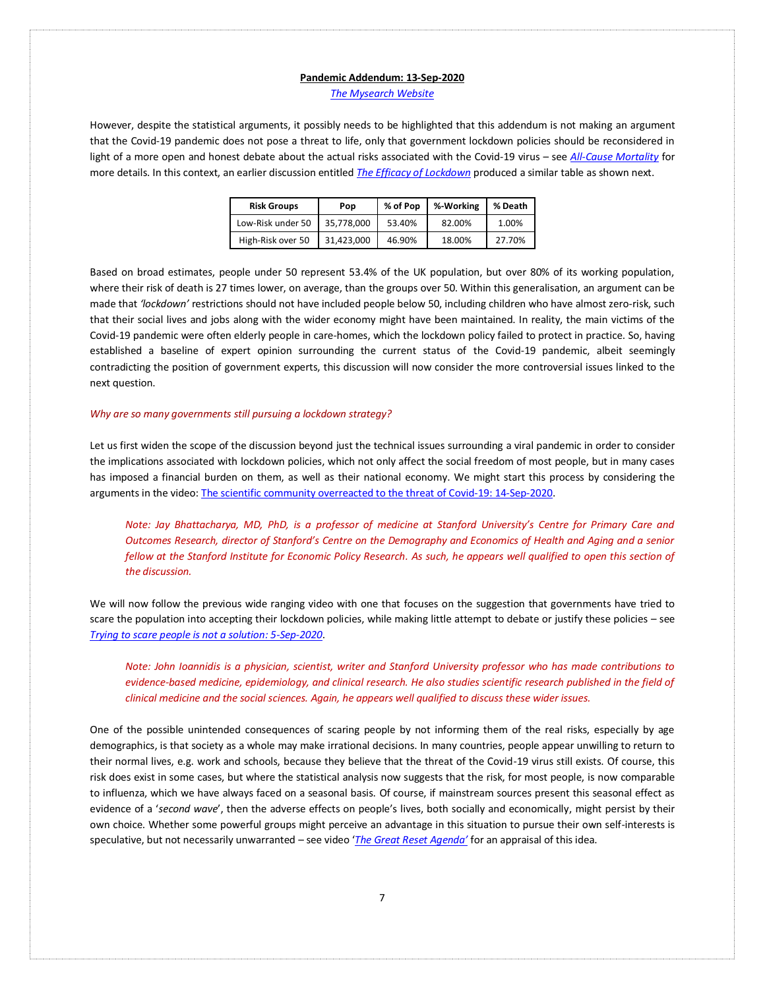*[The Mysearch Website](http://www.mysearch.org.uk/)*

However, despite the statistical arguments, it possibly needs to be highlighted that this addendum is not making an argument that the Covid-19 pandemic does not pose a threat to life, only that government lockdown policies should be reconsidered in light of a more open and honest debate about the actual risks associated with the Covid-19 virus – see *[All-Cause Mortality](http://www.mysearch.org.uk/website4/html/27.Mortality.html)* for more details. In this context, an earlier discussion entitled *[The Efficacy of Lockdown](http://www.mysearch.org.uk/website4/html/24.Lockdown.html)* produced a similar table as shown next.

| <b>Risk Groups</b> | Pop        | % of Pop | %-Working | % Death |  |
|--------------------|------------|----------|-----------|---------|--|
| Low-Risk under 50  | 35.778.000 | 53.40%   | 82.00%    | 1.00%   |  |
| High-Risk over 50  | 31.423.000 | 46.90%   | 18.00%    | 27.70%  |  |

Based on broad estimates, people under 50 represent 53.4% of the UK population, but over 80% of its working population, where their risk of death is 27 times lower, on average, than the groups over 50. Within this generalisation, an argument can be made that *'lockdown'* restrictions should not have included people below 50, including children who have almost zero-risk, such that their social lives and jobs along with the wider economy might have been maintained. In reality, the main victims of the Covid-19 pandemic were often elderly people in care-homes, which the lockdown policy failed to protect in practice. So, having established a baseline of expert opinion surrounding the current status of the Covid-19 pandemic, albeit seemingly contradicting the position of government experts, this discussion will now consider the more controversial issues linked to the next question.

## *Why are so many governments still pursuing a lockdown strategy?*

Let us first widen the scope of the discussion beyond just the technical issues surrounding a viral pandemic in order to consider the implications associated with lockdown policies, which not only affect the social freedom of most people, but in many cases has imposed a financial burden on them, as well as their national economy. We might start this process by considering the arguments in the video[: The scientific community overreacted to the threat of Covid-19: 14-Sep-2020.](https://www.youtube.com/watch?v=_3L-gE6of9Q&t=31s)

*Note: Jay Bhattacharya, MD, PhD, is a professor of medicine at Stanford University's Centre for Primary Care and Outcomes Research, director of Stanford's Centre on the Demography and Economics of Health and Aging and a senior*  fellow at the Stanford Institute for Economic Policy Research. As such, he appears well qualified to open this section of *the discussion.* 

We will now follow the previous wide ranging video with one that focuses on the suggestion that governments have tried to scare the population into accepting their lockdown policies, while making little attempt to debate or justify these policies – see *[Trying to scare people is not a solution: 5-Sep-2020](https://www.youtube.com/watch?v=V1kivpG3i2E)*.

*Note: John Ioannidis is a physician, scientist, writer and Stanford University professor who has made contributions to evidence-based medicine, epidemiology, and clinical research. He also studies scientific research published in the field of clinical medicine and the social sciences. Again, he appears well qualified to discuss these wider issues.* 

One of the possible unintended consequences of scaring people by not informing them of the real risks, especially by age demographics, is that society as a whole may make irrational decisions. In many countries, people appear unwilling to return to their normal lives, e.g. work and schools, because they believe that the threat of the Covid-19 virus still exists. Of course, this risk does exist in some cases, but where the statistical analysis now suggests that the risk, for most people, is now comparable to influenza, which we have always faced on a seasonal basis. Of course, if mainstream sources present this seasonal effect as evidence of a '*second wave*', then the adverse effects on people's lives, both socially and economically, might persist by their own choice. Whether some powerful groups might perceive an advantage in this situation to pursue their own self-interests is speculative, but not necessarily unwarranted – see video '*The Great [Reset Agenda'](https://www.youtube.com/watch?v=1xO723gH7Go&t=852s)* for an appraisal of this idea.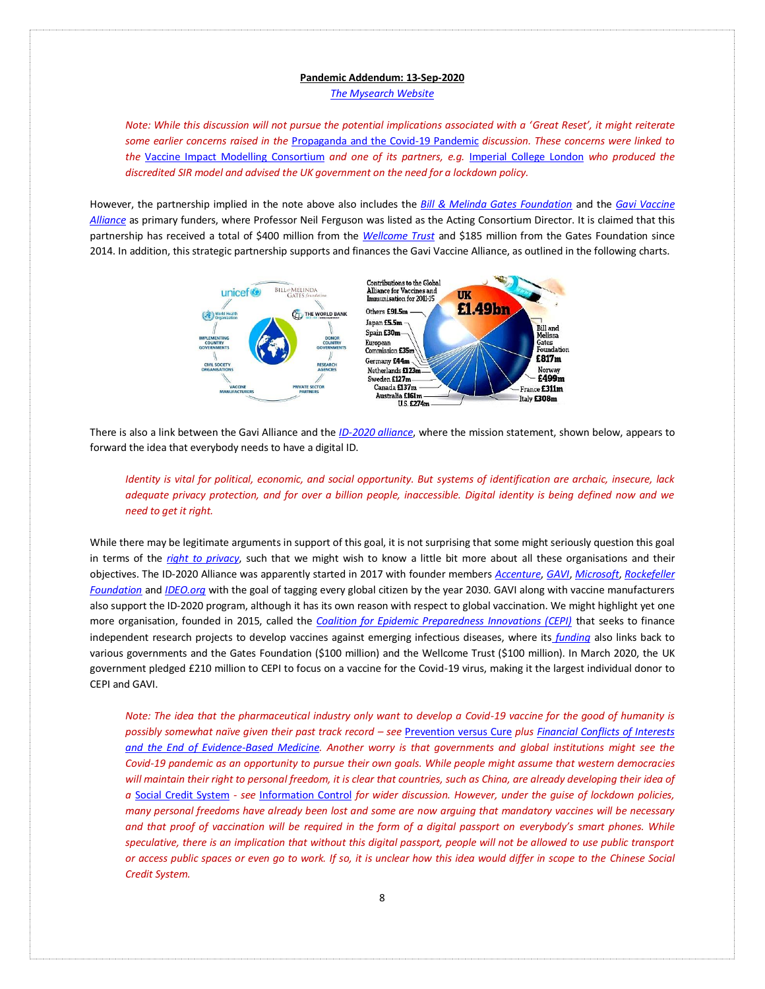*[The Mysearch Website](http://www.mysearch.org.uk/)*

*Note: While this discussion will not pursue the potential implications associated with a 'Great Reset', it might reiterate some earlier concerns raised in the* [Propaganda and the Covid-19 Pandemic](http://www.mysearch.org.uk/website4/html/23.Propaganda.html) *discussion. These concerns were linked to the* [Vaccine Impact Modelling Consortium](https://www.vaccineimpact.org/) *and one of its partners, e.g.* [Imperial College London](https://en.wikipedia.org/wiki/Imperial_College_London) *who produced the discredited SIR model and advised the UK government on the need for a lockdown policy.*

However, the partnership implied in the note above also includes the *[Bill & Melinda Gates Foundation](https://en.wikipedia.org/wiki/Bill_%26_Melinda_Gates_Foundation)* and the *[Gavi Vaccine](https://en.wikipedia.org/wiki/Gavi,_the_Vaccine_Alliance)  [Alliance](https://en.wikipedia.org/wiki/Gavi,_the_Vaccine_Alliance)* as primary funders, where Professor Neil Ferguson was listed as the Acting Consortium Director. It is claimed that this partnership has received a total of \$400 million from the *[Wellcome Trust](https://en.wikipedia.org/wiki/Wellcome_Trust)* and \$185 million from the Gates Foundation since 2014. In addition, this strategic partnership supports and finances the Gavi Vaccine Alliance, as outlined in the following charts.



There is also a link between the Gavi Alliance and the *[ID-2020 alliance](https://en.wikipedia.org/wiki/ID2020)*, where the mission statement, shown below, appears to forward the idea that everybody needs to have a digital ID.

*Identity is vital for political, economic, and social opportunity. But systems of identification are archaic, insecure, lack adequate privacy protection, and for over a billion people, inaccessible. Digital identity is being defined now and we need to get it right.*

While there may be legitimate arguments in support of this goal, it is not surprising that some might seriously question this goal in terms of the *[right to privacy](https://en.wikipedia.org/wiki/Right_to_privacy)*, such that we might wish to know a little bit more about all these organisations and their objectives. The ID-2020 Alliance was apparently started in 2017 with founder members *[Accenture](https://en.wikipedia.org/wiki/Accenture)*, *[GAVI](https://en.wikipedia.org/wiki/Gavi,_the_Vaccine_Alliance)*, *[Microsoft](https://en.wikipedia.org/wiki/Microsoft)*, *[Rockefeller](https://en.wikipedia.org/wiki/Rockefeller_Foundation)  [Foundation](https://en.wikipedia.org/wiki/Rockefeller_Foundation)* and *[IDEO.org](https://en.wikipedia.org/wiki/IDEO)* with the goal of tagging every global citizen by the year 2030. GAVI along with vaccine manufacturers also support the ID-2020 program, although it has its own reason with respect to global vaccination. We might highlight yet one more organisation, founded in 2015, called the *[Coalition for Epidemic Preparedness Innovations \(CEPI\)](https://en.wikipedia.org/wiki/Coalition_for_Epidemic_Preparedness_Innovations)* that seeks to finance independent research projects to develop vaccines against emerging infectious diseases, where its *[funding](https://en.wikipedia.org/wiki/Coalition_for_Epidemic_Preparedness_Innovations#Funding)* also links back to various governments and the Gates Foundation (\$100 million) and the Wellcome Trust (\$100 million). In March 2020, the UK government pledged £210 million to CEPI to focus on a vaccine for the Covid-19 virus, making it the largest individual donor to CEPI and GAVI.

*Note: The idea that the pharmaceutical industry only want to develop a Covid-19 vaccine for the good of humanity is possibly somewhat naïve given their past track record – see* [Prevention versus Cure](http://www.mysearch.org.uk/website4/html/13.Prevention.html) *plus [Financial Conflicts of Interests](https://www.youtube.com/watch?v=z6IO2DZjOkY)  [and the End of Evidence-Based Medicine.](https://www.youtube.com/watch?v=z6IO2DZjOkY) Another worry is that governments and global institutions might see the Covid-19 pandemic as an opportunity to pursue their own goals. While people might assume that western democracies will maintain their right to personal freedom, it is clear that countries, such as China, are already developing their idea of a* [Social Credit System](https://en.wikipedia.org/wiki/Social_Credit_System) *- see* [Information Control](http://www.mysearch.org.uk/website2/html/241.Control.html) *for wider discussion. However, under the guise of lockdown policies, many personal freedoms have already been lost and some are now arguing that mandatory vaccines will be necessary and that proof of vaccination will be required in the form of a digital passport on everybody's smart phones. While speculative, there is an implication that without this digital passport, people will not be allowed to use public transport or access public spaces or even go to work. If so, it is unclear how this idea would differ in scope to the Chinese Social Credit System.*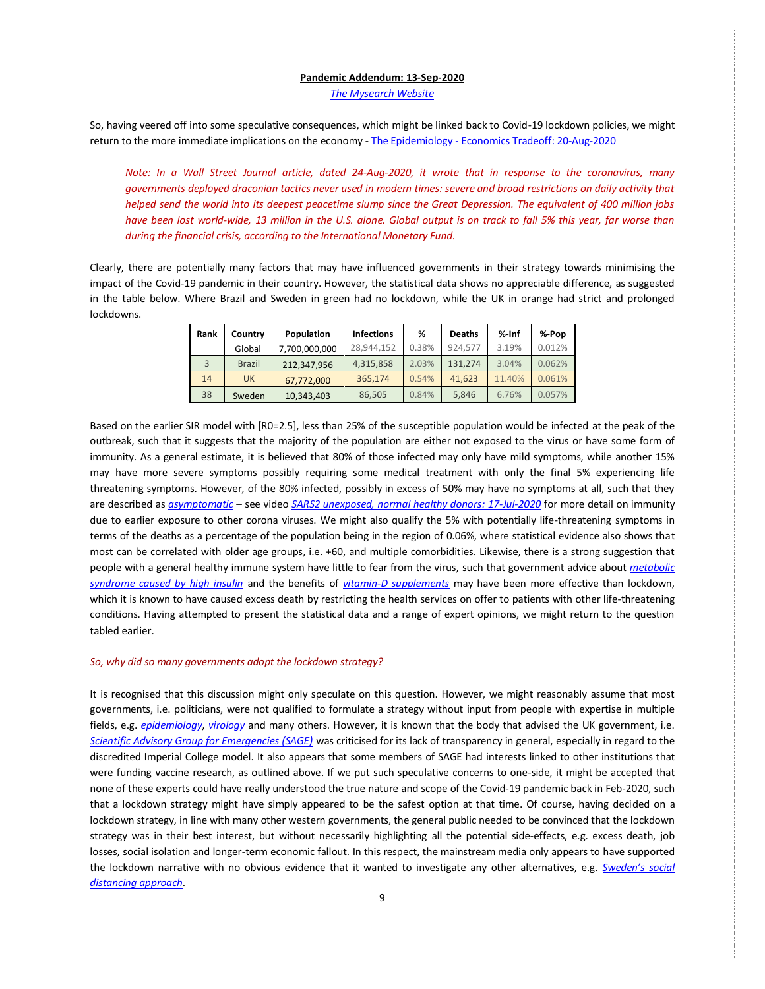*[The Mysearch Website](http://www.mysearch.org.uk/)*

So, having veered off into some speculative consequences, which might be linked back to Covid-19 lockdown policies, we might return to the more immediate implications on the economy - The Epidemiology - [Economics Tradeoff: 20-Aug-2020](https://www.youtube.com/watch?v=xwELsONc8X0)

*Note: In a Wall Street Journal article, dated 24-Aug-2020, it wrote that in response to the coronavirus, many governments deployed draconian tactics never used in modern times: severe and broad restrictions on daily activity that helped send the world into its deepest peacetime slump since the Great Depression. The equivalent of 400 million jobs have been lost world-wide, 13 million in the U.S. alone. Global output is on track to fall 5% this year, far worse than during the financial crisis, according to the International Monetary Fund.*

Clearly, there are potentially many factors that may have influenced governments in their strategy towards minimising the impact of the Covid-19 pandemic in their country. However, the statistical data shows no appreciable difference, as suggested in the table below. Where Brazil and Sweden in green had no lockdown, while the UK in orange had strict and prolonged lockdowns.

| Rank | Country       | Population    | <b>Infections</b> | %     | <b>Deaths</b> | %-Inf  | %-Pop  |
|------|---------------|---------------|-------------------|-------|---------------|--------|--------|
|      | Global        | 7,700,000,000 | 28.944.152        | 0.38% | 924.577       | 3.19%  | 0.012% |
|      | <b>Brazil</b> | 212.347.956   | 4,315,858         | 2.03% | 131.274       | 3.04%  | 0.062% |
| 14   | <b>UK</b>     | 67,772,000    | 365.174           | 0.54% | 41.623        | 11.40% | 0.061% |
| 38   | Sweden        | 10,343,403    | 86,505            | 0.84% | 5,846         | 6.76%  | 0.057% |

Based on the earlier SIR model with [R0=2.5], less than 25% of the susceptible population would be infected at the peak of the outbreak, such that it suggests that the majority of the population are either not exposed to the virus or have some form of immunity. As a general estimate, it is believed that 80% of those infected may only have mild symptoms, while another 15% may have more severe symptoms possibly requiring some medical treatment with only the final 5% experiencing life threatening symptoms. However, of the 80% infected, possibly in excess of 50% may have no symptoms at all, such that they are described as *[asymptomatic](https://en.wikipedia.org/wiki/Asymptomatic)* – see video *[SARS2 unexposed, normal healthy donors: 17-Jul-2020](https://www.youtube.com/watch?v=tDdZQlTwxrA)* for more detail on immunity due to earlier exposure to other corona viruses. We might also qualify the 5% with potentially life-threatening symptoms in terms of the deaths as a percentage of the population being in the region of 0.06%, where statistical evidence also shows that most can be correlated with older age groups, i.e. +60, and multiple comorbidities. Likewise, there is a strong suggestion that people with a general healthy immune system have little to fear from the virus, such that government advice about *[metabolic](https://www.youtube.com/watch?v=Wtof98E8cC4)  [syndrome caused by high insulin](https://www.youtube.com/watch?v=Wtof98E8cC4)* and the benefits of *[vitamin-D supplements](https://www.youtube.com/watch?v=VUaVjGqPoOI)* may have been more effective than lockdown, which it is known to have caused excess death by restricting the health services on offer to patients with other life-threatening conditions. Having attempted to present the statistical data and a range of expert opinions, we might return to the question tabled earlier.

### *So, why did so many governments adopt the lockdown strategy?*

It is recognised that this discussion might only speculate on this question. However, we might reasonably assume that most governments, i.e. politicians, were not qualified to formulate a strategy without input from people with expertise in multiple fields, e.g. *[epidemiology](https://en.wikipedia.org/wiki/Epidemiology)*, *[virology](https://en.wikipedia.org/wiki/Virology)* and many others. However, it is known that the body that advised the UK government, i.e. *[Scientific Advisory Group for Emergencies \(SAGE\)](https://en.wikipedia.org/wiki/Scientific_Advisory_Group_for_Emergencies)* was criticised for its lack of transparency in general, especially in regard to the discredited Imperial College model. It also appears that some members of SAGE had interests linked to other institutions that were funding vaccine research, as outlined above. If we put such speculative concerns to one-side, it might be accepted that none of these experts could have really understood the true nature and scope of the Covid-19 pandemic back in Feb-2020, such that a lockdown strategy might have simply appeared to be the safest option at that time. Of course, having decided on a lockdown strategy, in line with many other western governments, the general public needed to be convinced that the lockdown strategy was in their best interest, but without necessarily highlighting all the potential side-effects, e.g. excess death, job losses, social isolation and longer-term economic fallout. In this respect, the mainstream media only appears to have supported the lockdown narrative with no obvious evidence that it wanted to investigate any other alternatives, e.g. *[Sweden's social](https://en.wikipedia.org/wiki/COVID-19_pandemic_in_Sweden)  [distancing approach](https://en.wikipedia.org/wiki/COVID-19_pandemic_in_Sweden)*.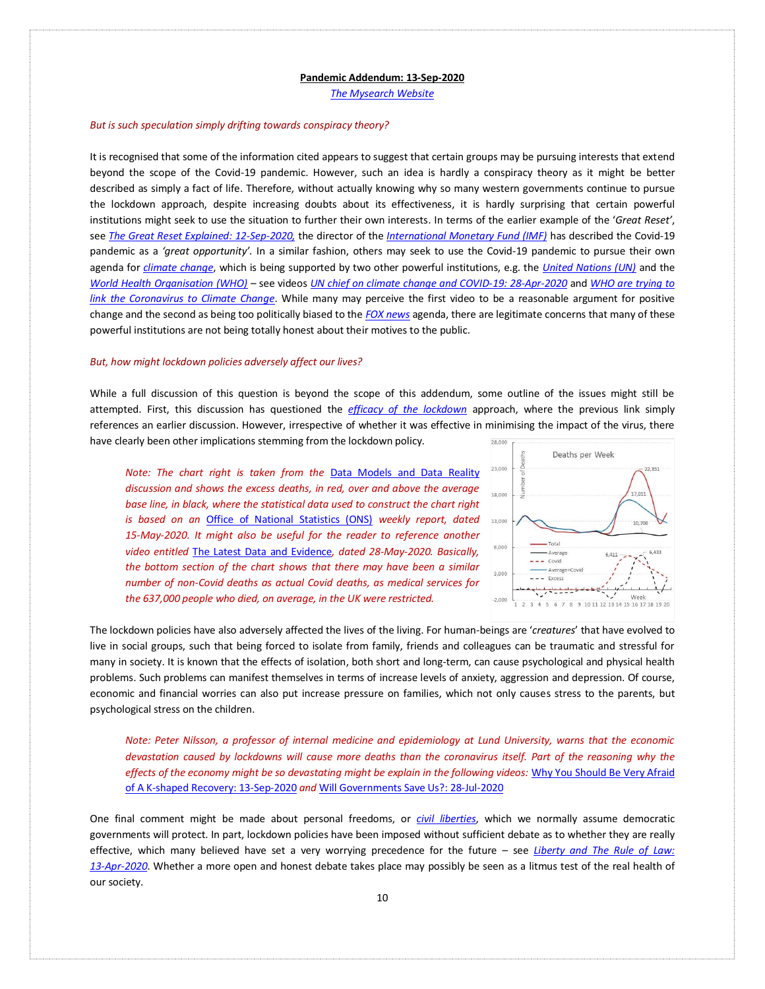*[The Mysearch Website](http://www.mysearch.org.uk/)*

#### *But is such speculation simply drifting towards conspiracy theory?*

It is recognised that some of the information cited appears to suggest that certain groups may be pursuing interests that extend beyond the scope of the Covid-19 pandemic. However, such an idea is hardly a conspiracy theory as it might be better described as simply a fact of life. Therefore, without actually knowing why so many western governments continue to pursue the lockdown approach, despite increasing doubts about its effectiveness, it is hardly surprising that certain powerful institutions might seek to use the situation to further their own interests. In terms of the earlier example of the '*Great Reset'*, see *[The Great Reset Explained: 12-Sep-2020,](https://www.youtube.com/watch?v=eNsW4ssOBxU)* the director of the *[International Monetary Fund \(IMF\)](https://en.wikipedia.org/wiki/International_Monetary_Fund)* has described the Covid-19 pandemic as a *'great opportunity'.* In a similar fashion, others may seek to use the Covid-19 pandemic to pursue their own agenda for *[climate change](http://www.mysearch.org.uk/website4/html/11.Climate.html)*, which is being supported by two other powerful institutions, e.g. the *[United Nations \(UN\)](https://en.wikipedia.org/wiki/United_Nations)* and the *[World Health Organisation \(WHO\)](https://en.wikipedia.org/wiki/World_Health_Organization)* – see videos *[UN chief on climate change and COVID-19: 28-Apr-2020](https://www.youtube.com/watch?v=UHoJP6a5218)* and *[WHO are trying to](https://www.air.tv/watch?v=ldUdSPafQ8yZTixWEjVnXQ)  [link the Coronavirus to Climate Change](https://www.air.tv/watch?v=ldUdSPafQ8yZTixWEjVnXQ)*. While many may perceive the first video to be a reasonable argument for positive change and the second as being too politically biased to the *[FOX news](https://en.wikipedia.org/wiki/Fox_News)* agenda, there are legitimate concerns that many of these powerful institutions are not being totally honest about their motives to the public.

# *But, how might lockdown policies adversely affect our lives?*

While a full discussion of this question is beyond the scope of this addendum, some outline of the issues might still be attempted. First, this discussion has questioned the *[efficacy of the lockdown](http://www.mysearch.org.uk/website4/html/24.Lockdown.html)* approach, where the previous link simply references an earlier discussion. However, irrespective of whether it was effective in minimising the impact of the virus, there have clearly been other implications stemming from the lockdown policy. 28,000

*Note: The chart right is taken from the* [Data Models and Data Reality](http://www.mysearch.org.uk/website4/html/28.Models.html) *discussion and shows the excess deaths, in red, over and above the average base line, in black, where the statistical data used to construct the chart right is based on an* [Office of National Statistics \(ONS\)](https://www.ons.gov.uk/peoplepopulationandcommunity/birthsdeathsandmarriages/deaths/datasets/weeklyprovisionalfiguresondeathsregisteredinenglandandwales) *weekly report, dated 15-May-2020. It might also be useful for the reader to reference another video entitled* [The Latest Data and Evidence](https://www.youtube.com/watch?v=-VLW0_XlWl4)*, dated 28-May-2020. Basically, the bottom section of the chart shows that there may have been a similar number of non-Covid deaths as actual Covid deaths, as medical services for the 637,000 people who died, on average, in the UK were restricted.* 



The lockdown policies have also adversely affected the lives of the living. For human-beings are '*creatures*' that have evolved to live in social groups, such that being forced to isolate from family, friends and colleagues can be traumatic and stressful for many in society. It is known that the effects of isolation, both short and long-term, can cause psychological and physical health problems. Such problems can manifest themselves in terms of increase levels of anxiety, aggression and depression. Of course, economic and financial worries can also put increase pressure on families, which not only causes stress to the parents, but psychological stress on the children.

*Note: Peter Nilsson, a professor of internal medicine and epidemiology at Lund University, warns that the economic devastation caused by lockdowns will cause more deaths than the coronavirus itself. Part of the reasoning why the effects of the economy might be so devastating might be explain in the following videos:* [Why You Should Be Very Afraid](https://www.youtube.com/watch?v=G-Rp6bGORc8&t=334s)  [of A K-shaped Recovery: 13-Sep-2020](https://www.youtube.com/watch?v=G-Rp6bGORc8&t=334s) *and* [Will Governments Save Us?: 28-Jul-2020](https://www.youtube.com/watch?v=rJAUWXP6jTQ)

One final comment might be made about personal freedoms, or *[civil liberties](https://en.wikipedia.org/wiki/Civil_liberties)*, which we normally assume democratic governments will protect. In part, lockdown policies have been imposed without sufficient debate as to whether they are really effective, which many believed have set a very worrying precedence for the future – see *[Liberty and The Rule of Law:](https://www.youtube.com/watch?v=1meGZFDhYRo)  [13-Apr-2020](https://www.youtube.com/watch?v=1meGZFDhYRo)*. Whether a more open and honest debate takes place may possibly be seen as a litmus test of the real health of our society.